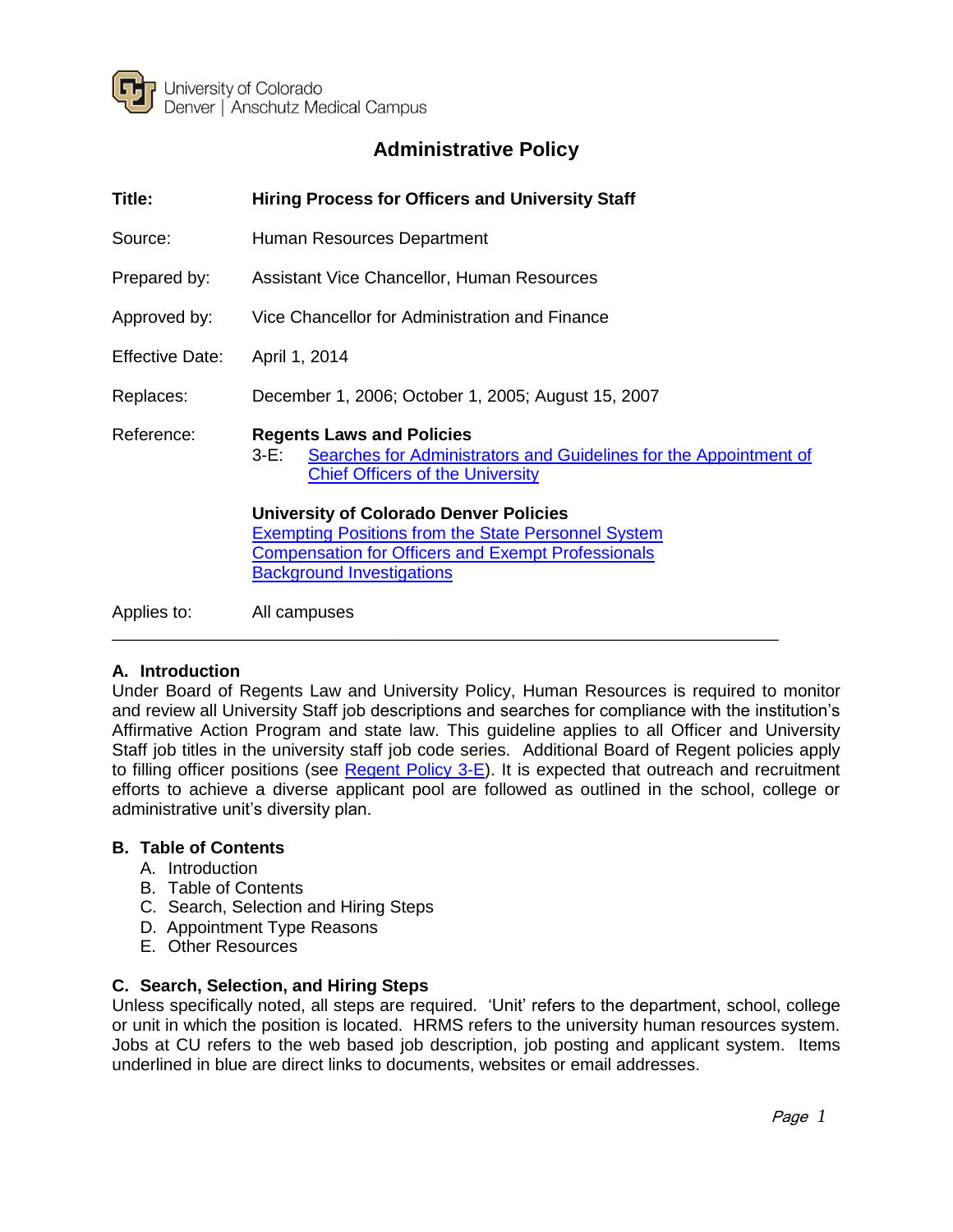

# **Administrative Policy**

| Title:                 | <b>Hiring Process for Officers and University Staff</b>                                                                                                                                                      |
|------------------------|--------------------------------------------------------------------------------------------------------------------------------------------------------------------------------------------------------------|
| Source:                | Human Resources Department                                                                                                                                                                                   |
| Prepared by:           | Assistant Vice Chancellor, Human Resources                                                                                                                                                                   |
| Approved by:           | Vice Chancellor for Administration and Finance                                                                                                                                                               |
| <b>Effective Date:</b> | April 1, 2014                                                                                                                                                                                                |
| Replaces:              | December 1, 2006; October 1, 2005; August 15, 2007                                                                                                                                                           |
| Reference:             | <b>Regents Laws and Policies</b><br>Searches for Administrators and Guidelines for the Appointment of<br>3-E: .<br><b>Chief Officers of the University</b>                                                   |
|                        | <b>University of Colorado Denver Policies</b><br><b>Exempting Positions from the State Personnel System</b><br><b>Compensation for Officers and Exempt Professionals</b><br><b>Background Investigations</b> |
| Applies to:            | All campuses                                                                                                                                                                                                 |

# **A. Introduction**

Under Board of Regents Law and University Policy, Human Resources is required to monitor and review all University Staff job descriptions and searches for compliance with the institution's Affirmative Action Program and state law. This guideline applies to all Officer and University Staff job titles in the university staff job code series. Additional Board of Regent policies apply to filling officer positions (see [Regent Policy 3-E\)](http://www.cu.edu/regents/policy-3e-searches-administrators-and-guidelines-appointment-chief-officers-university). It is expected that outreach and recruitment efforts to achieve a diverse applicant pool are followed as outlined in the school, college or administrative unit's diversity plan.

#### **B. Table of Contents**

- A. Introduction
- B. Table of Contents
- C. Search, Selection and Hiring Steps
- D. Appointment Type Reasons
- E. Other Resources

## **C. Search, Selection, and Hiring Steps**

Unless specifically noted, all steps are required. 'Unit' refers to the department, school, college or unit in which the position is located. HRMS refers to the university human resources system. Jobs at CU refers to the web based job description, job posting and applicant system. Items underlined in blue are direct links to documents, websites or email addresses.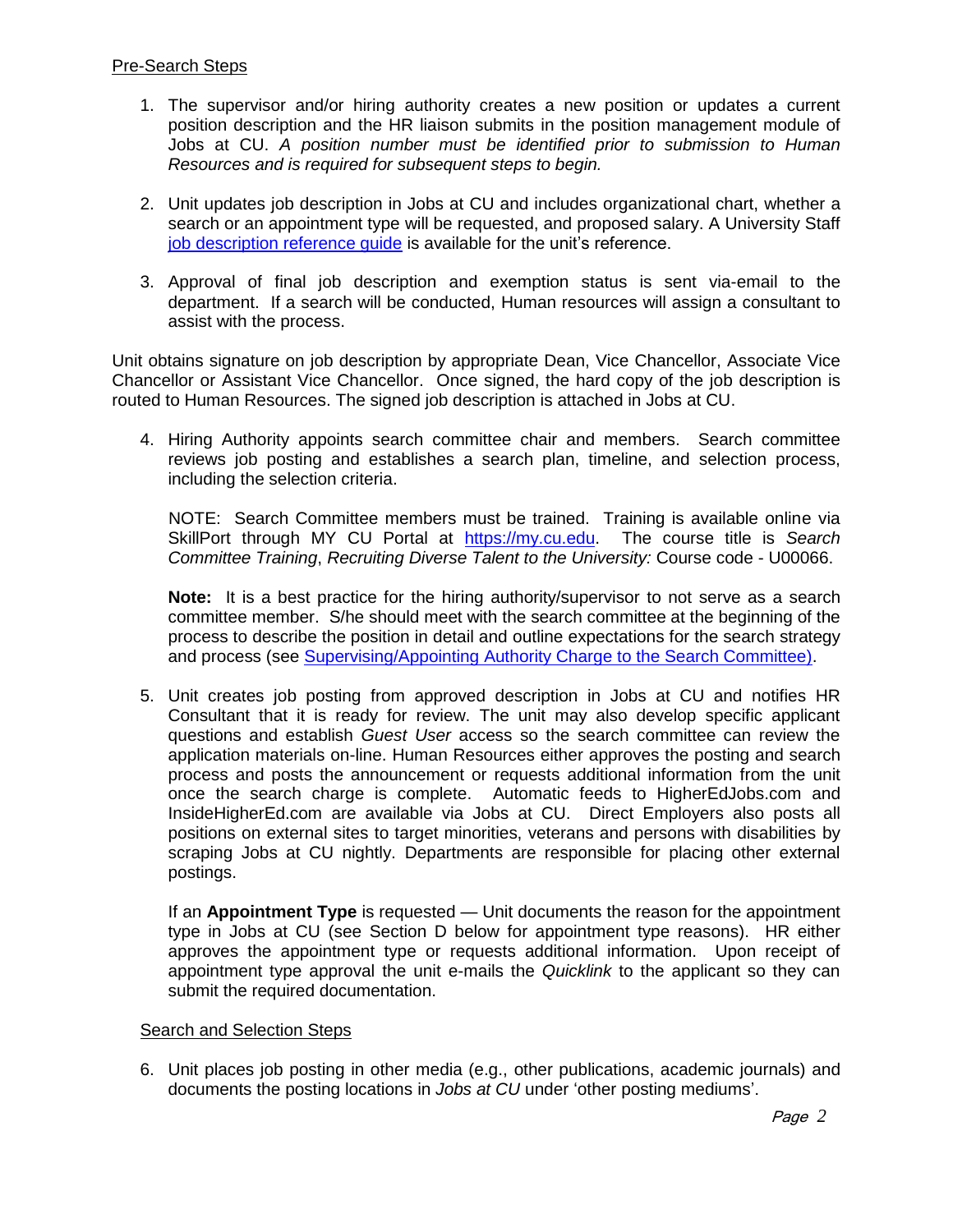### Pre-Search Steps

- 1. The supervisor and/or hiring authority creates a new position or updates a current position description and the HR liaison submits in the position management module of Jobs at CU. *A position number must be identified prior to submission to Human Resources and is required for subsequent steps to begin.*
- 2. Unit updates job description in Jobs at CU and includes organizational chart, whether a search or an appointment type will be requested, and proposed salary. A University Staff [job description reference guide](http://www.ucdenver.edu/about/departments/HR/FormsTemplatesProcesses/Documents/Word/UniversityStaff-PRA-ReferenceGuide.doc) is available for the unit's reference.
- 3. Approval of final job description and exemption status is sent via-email to the department. If a search will be conducted, Human resources will assign a consultant to assist with the process.

Unit obtains signature on job description by appropriate Dean, Vice Chancellor, Associate Vice Chancellor or Assistant Vice Chancellor. Once signed, the hard copy of the job description is routed to Human Resources. The signed job description is attached in Jobs at CU.

4. Hiring Authority appoints search committee chair and members. Search committee reviews job posting and establishes a search plan, timeline, and selection process, including the selection criteria.

 NOTE: Search Committee members must be trained. Training is available online via SkillPort through MY CU Portal at [https://my.cu.edu.](https://my.cu.edu/) The course title is *Search Committee Training*, *Recruiting Diverse Talent to the University:* Course code - U00066.

**Note:** It is a best practice for the hiring authority/supervisor to not serve as a search committee member. S/he should meet with the search committee at the beginning of the process to describe the position in detail and outline expectations for the search strategy and process (see [Supervising/Appointing Authority Charge to the Search Committee\).](http://www.ucdenver.edu/about/departments/HR/FormsTemplatesProcesses/Documents/Word/ChargetoSearchCommittee.doc)

5. Unit creates job posting from approved description in Jobs at CU and notifies HR Consultant that it is ready for review. The unit may also develop specific applicant questions and establish *Guest User* access so the search committee can review the application materials on-line. Human Resources either approves the posting and search process and posts the announcement or requests additional information from the unit once the search charge is complete. Automatic feeds to HigherEdJobs.com and InsideHigherEd.com are available via Jobs at CU. Direct Employers also posts all positions on external sites to target minorities, veterans and persons with disabilities by scraping Jobs at CU nightly. Departments are responsible for placing other external postings.

If an **Appointment Type** is requested — Unit documents the reason for the appointment type in Jobs at CU (see Section D below for appointment type reasons). HR either approves the appointment type or requests additional information. Upon receipt of appointment type approval the unit e-mails the *Quicklink* to the applicant so they can submit the required documentation.

### Search and Selection Steps

6. Unit places job posting in other media (e.g., other publications, academic journals) and documents the posting locations in *Jobs at CU* under 'other posting mediums'.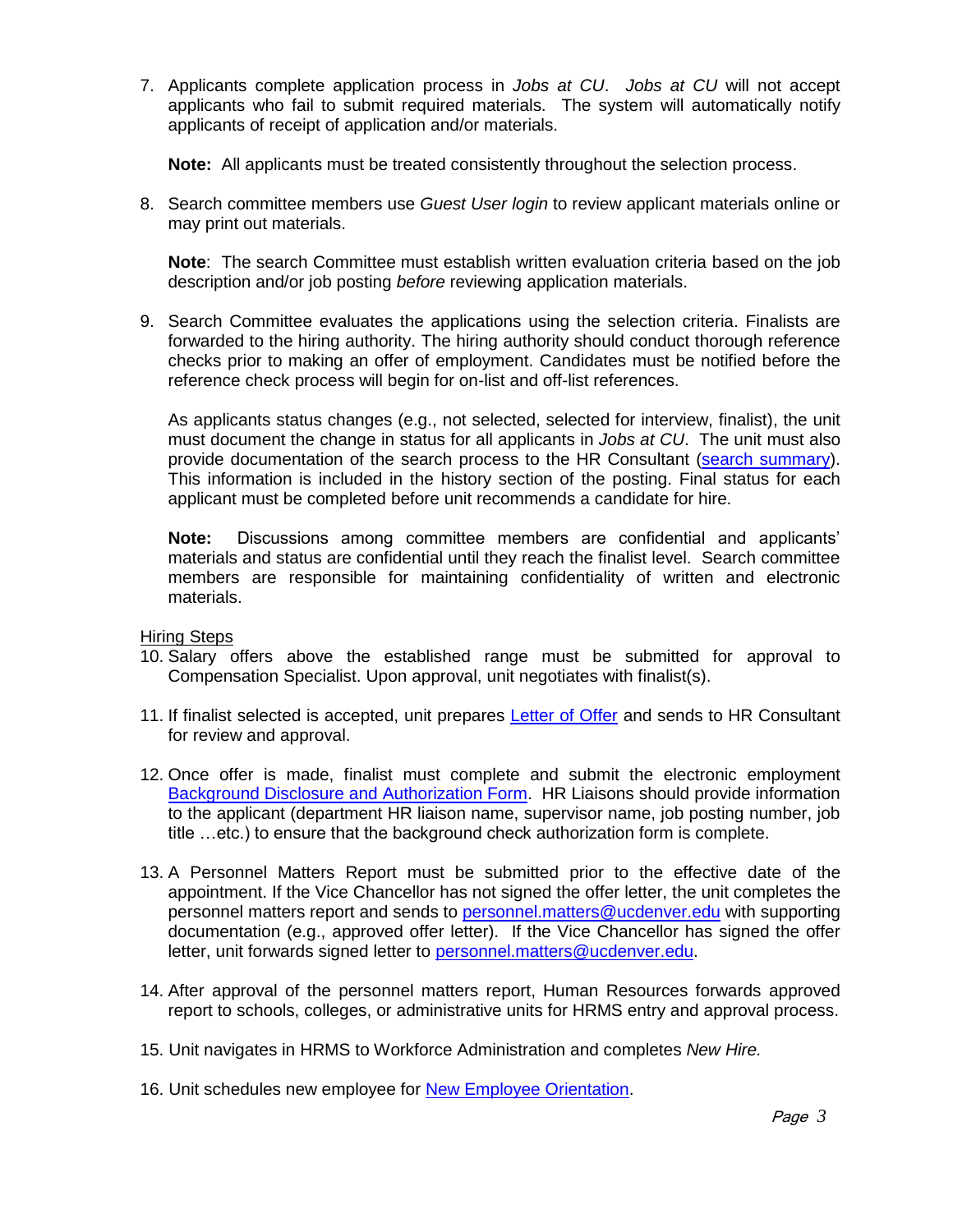7. Applicants complete application process in *Jobs at CU*. *Jobs at CU* will not accept applicants who fail to submit required materials. The system will automatically notify applicants of receipt of application and/or materials.

**Note:** All applicants must be treated consistently throughout the selection process.

8. Search committee members use *Guest User login* to review applicant materials online or may print out materials.

**Note**: The search Committee must establish written evaluation criteria based on the job description and/or job posting *before* reviewing application materials.

9. Search Committee evaluates the applications using the selection criteria. Finalists are forwarded to the hiring authority. The hiring authority should conduct thorough reference checks prior to making an offer of employment. Candidates must be notified before the reference check process will begin for on-list and off-list references.

As applicants status changes (e.g., not selected, selected for interview, finalist), the unit must document the change in status for all applicants in *Jobs at CU*. The unit must also provide documentation of the search process to the HR Consultant [\(search summary\)](http://www.ucdenver.edu/about/departments/HR/FormsTemplatesProcesses/Documents/Word/SearchSummaryTemplate.doc). This information is included in the history section of the posting. Final status for each applicant must be completed before unit recommends a candidate for hire.

**Note:** Discussions among committee members are confidential and applicants' materials and status are confidential until they reach the finalist level. Search committee members are responsible for maintaining confidentiality of written and electronic materials.

Hiring Steps

- 10. Salary offers above the established range must be submitted for approval to Compensation Specialist. Upon approval, unit negotiates with finalist(s).
- 11. If finalist selected is accepted, unit prepares [Letter of Offer](http://www.ucdenver.edu/about/departments/HR/FormsTemplatesProcesses/Documents/Word/UniversityStaffOfferLetter.docx) and sends to HR Consultant for review and approval.
- 12. Once offer is made, finalist must complete and submit the electronic employment Background [Disclosure and Authorization Form.](http://www.ucdenver.edu/about/departments/HR/FormsTemplatesProcesses/BackgroundCheckForm/Pages/form.aspx) HR Liaisons should provide information to the applicant (department HR liaison name, supervisor name, job posting number, job title …etc.) to ensure that the background check authorization form is complete.
- 13. A Personnel Matters Report must be submitted prior to the effective date of the appointment. If the Vice Chancellor has not signed the offer letter, the unit completes the personnel matters report and sends to [personnel.matters@ucdenver.edu](mailto:personnel.matters@ucdenver.edu) with supporting documentation (e.g., approved offer letter). If the Vice Chancellor has signed the offer letter, unit forwards signed letter to [personnel.matters@ucdenver.edu.](mailto:personnel.matters@ucdenver.edu)
- 14. After approval of the personnel matters report, Human Resources forwards approved report to schools, colleges, or administrative units for HRMS entry and approval process.
- 15. Unit navigates in HRMS to Workforce Administration and completes *New Hire.*
- 16. Unit schedules new employee for [New Employee Orientation.](http://www.ucdenver.edu/about/departments/HR/training/Pages/NewEmployeeOrientation.aspx)